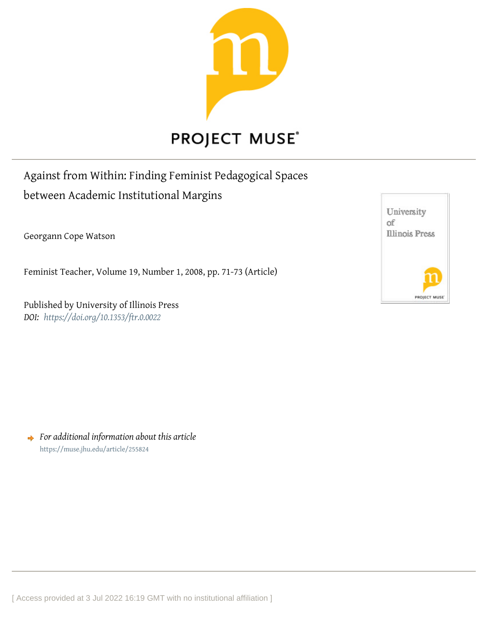

## **PROJECT MUSE®**

## Against from Within: Finding Feminist Pedagogical Spaces between Academic Institutional Margins

Georgann Cope Watson

Feminist Teacher, Volume 19, Number 1, 2008, pp. 71-73 (Article)

Published by University of Illinois Press *DOI: <https://doi.org/10.1353/ftr.0.0022>*



*For additional information about this article* <https://muse.jhu.edu/article/255824>

[ Access provided at 3 Jul 2022 16:19 GMT with no institutional affiliation ]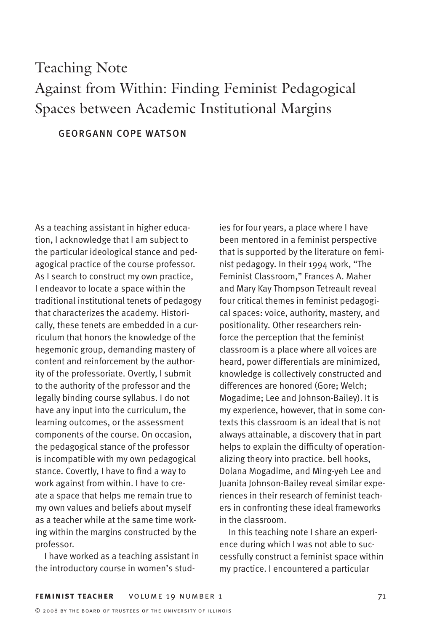## Teaching Note Against from Within: Finding Feminist Pedagogical Spaces between Academic Institutional Margins

Georgann Cope Watson

As a teaching assistant in higher education, I acknowledge that I am subject to the particular ideological stance and pedagogical practice of the course professor. As I search to construct my own practice, I endeavor to locate a space within the traditional institutional tenets of pedagogy that characterizes the academy. Historically, these tenets are embedded in a curriculum that honors the knowledge of the hegemonic group, demanding mastery of content and reinforcement by the authority of the professoriate. Overtly, I submit to the authority of the professor and the legally binding course syllabus. I do not have any input into the curriculum, the learning outcomes, or the assessment components of the course. On occasion, the pedagogical stance of the professor is incompatible with my own pedagogical stance. Covertly, I have to find a way to work against from within. I have to create a space that helps me remain true to my own values and beliefs about myself as a teacher while at the same time working within the margins constructed by the professor.

I have worked as a teaching assistant in the introductory course in women's studies for four years, a place where I have been mentored in a feminist perspective that is supported by the literature on feminist pedagogy. In their 1994 work, "The Feminist Classroom," Frances A. Maher and Mary Kay Thompson Tetreault reveal four critical themes in feminist pedagogical spaces: voice, authority, mastery, and positionality. Other researchers reinforce the perception that the feminist classroom is a place where all voices are heard, power differentials are minimized, knowledge is collectively constructed and differences are honored (Gore; Welch; Mogadime; Lee and Johnson-Bailey). It is my experience, however, that in some contexts this classroom is an ideal that is not always attainable, a discovery that in part helps to explain the difficulty of operationalizing theory into practice. bell hooks, Dolana Mogadime, and Ming-yeh Lee and Juanita Johnson-Bailey reveal similar experiences in their research of feminist teachers in confronting these ideal frameworks in the classroom.

In this teaching note I share an experience during which I was not able to successfully construct a feminist space within my practice. I encountered a particular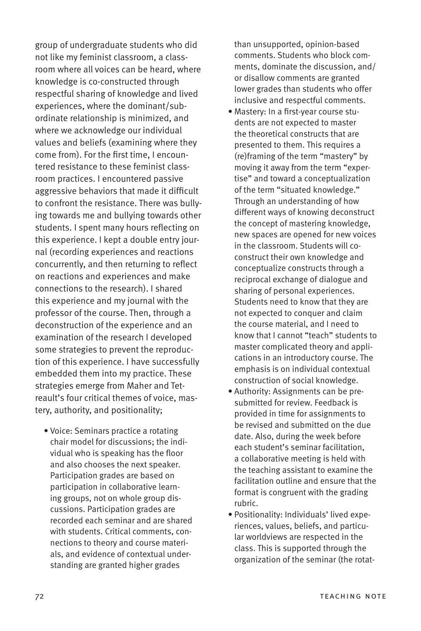group of undergraduate students who did not like my feminist classroom, a classroom where all voices can be heard, where knowledge is co-constructed through respectful sharing of knowledge and lived experiences, where the dominant/subordinate relationship is minimized, and where we acknowledge our individual values and beliefs (examining where they come from). For the first time, I encountered resistance to these feminist classroom practices. I encountered passive aggressive behaviors that made it difficult to confront the resistance. There was bullying towards me and bullying towards other students. I spent many hours reflecting on this experience. I kept a double entry journal (recording experiences and reactions concurrently, and then returning to reflect on reactions and experiences and make connections to the research). I shared this experience and my journal with the professor of the course. Then, through a deconstruction of the experience and an examination of the research I developed some strategies to prevent the reproduction of this experience. I have successfully embedded them into my practice. These strategies emerge from Maher and Tetreault's four critical themes of voice, mastery, authority, and positionality;

• Voice: Seminars practice a rotating chair model for discussions; the individual who is speaking has the floor and also chooses the next speaker. Participation grades are based on participation in collaborative learning groups, not on whole group discussions. Participation grades are recorded each seminar and are shared with students. Critical comments, connections to theory and course materials, and evidence of contextual understanding are granted higher grades

than unsupported, opinion-based comments. Students who block comments, dominate the discussion, and/ or disallow comments are granted lower grades than students who offer inclusive and respectful comments.

- • Mastery: In a first-year course students are not expected to master the theoretical constructs that are presented to them. This requires a (re)framing of the term "mastery" by moving it away from the term "expertise" and toward a conceptualization of the term "situated knowledge." Through an understanding of how different ways of knowing deconstruct the concept of mastering knowledge, new spaces are opened for new voices in the classroom. Students will coconstruct their own knowledge and conceptualize constructs through a reciprocal exchange of dialogue and sharing of personal experiences. Students need to know that they are not expected to conquer and claim the course material, and I need to know that I cannot "teach" students to master complicated theory and applications in an introductory course. The emphasis is on individual contextual construction of social knowledge.
- Authority: Assignments can be presubmitted for review. Feedback is provided in time for assignments to be revised and submitted on the due date. Also, during the week before each student's seminar facilitation, a collaborative meeting is held with the teaching assistant to examine the facilitation outline and ensure that the format is congruent with the grading rubric.
- • Positionality: Individuals' lived experiences, values, beliefs, and particular worldviews are respected in the class. This is supported through the organization of the seminar (the rotat-